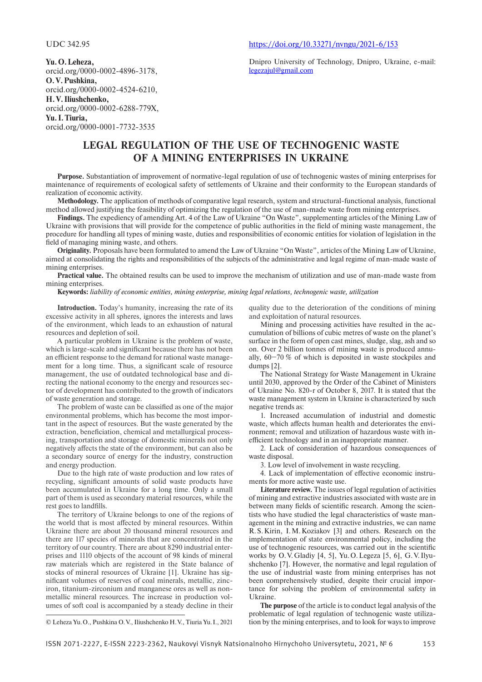**Yu. O. Leheza,** orcid.org/0000-0002-4896-3178, **O. V. Pushkina,** orcid.org/0000-0002-4524-6210, **H. V. Iliushchenko,** orcid.org/0000-0002-6288-779X, **Yu. I. Tiuria,**

orcid.org/0000-0001-7732-3535

#### UDC 342.95 https://doi.org/10.33271/nvngu/2021-6/153

Dnipro University of Technology, Dnipro, Ukraine, e-mail: legezajul@gmail.com

# **LEGAL REGULATION OF THE USE OF TECHNOGENIC WASTE OF A MINING ENTERPRISES IN UKRAINE**

**Purpose.** Substantiation of improvement of normative-legal regulation of use of technogenic wastes of mining enterprises for maintenance of requirements of ecological safety of settlements of Ukraine and their conformity to the European standards of realization of economic activity.

**Methodology.** The application of methods of comparative legal research, system and structural-functional analysis, functional method allowed justifying the feasibility of optimizing the regulation of the use of man-made waste from mining enterprises.

**Findings.** The expediency of amending Art. 4 of the Law of Ukraine "On Waste", supplementing articles of the Mining Law of Ukraine with provisions that will provide for the competence of public authorities in the field of mining waste management, the procedure for handling all types of mining waste, duties and responsibilities of economic entities for violation of legislation in the field of managing mining waste, and others.

**Originality.** Proposals have been formulated to amend the Law of Ukraine "On Waste", articles of the Mining Law of Ukraine, aimed at consolidating the rights and responsibilities of the subjects of the administrative and legal regime of man-made waste of mining enterprises.

**Practical value.** The obtained results can be used to improve the mechanism of utilization and use of man-made waste from mining enterprises.

#### **Keywords:** *liability of economic entities, mining enterprise, mining legal relations, technogenic waste, utilization*

**Introduction.** Today's humanity, increasing the rate of its excessive activity in all spheres, ignores the interests and laws of the environment, which leads to an exhaustion of natural resources and depletion of soil.

A particular problem in Ukraine is the problem of waste, which is large-scale and significant because there has not been an efficient response to the demand for rational waste management for a long time. Thus, a significant scale of resource management, the use of outdated technological base and directing the national economy to the energy and resources sector of development has contributed to the growth of indicators of waste generation and storage.

The problem of waste can be classified as one of the major environmental problems, which has become the most important in the aspect of resources. But the waste generated by the extraction, beneficiation, chemical and metallurgical processing, transportation and storage of domestic minerals not only negatively affects the state of the environment, but can also be a secondary source of energy for the industry, construction and energy production.

Due to the high rate of waste production and low rates of recycling, significant amounts of solid waste products have been accumulated in Ukraine for a long time. Only a small part of them is used as secondary material resources, while the rest goes to landfills.

The territory of Ukraine belongs to one of the regions of the world that is most affected by mineral resources. Within Ukraine there are about 20 thousand mineral resources and there are 117 species of minerals that are concentrated in the territory of our country. There are about 8290 industrial enterprises and 1110 objects of the account of 98 kinds of mineral raw materials which are registered in the State balance of stocks of mineral resources of Ukraine [1]. Ukraine has significant volumes of reserves of coal minerals, metallic, zinciron, titanium-zirconium and manganese ores as well as nonmetallic mineral resources. The increase in production volumes of soft coal is accompanied by a steady decline in their

quality due to the deterioration of the conditions of mining and exploitation of natural resources.

Mining and processing activities have resulted in the accumulation of billions of cubic metres of waste on the planet's surface in the form of open cast mines, sludge, slag, ash and so on. Over 2 billion tonnes of mining waste is produced annually, 60−70 % of which is deposited in waste stockpiles and dumps [2].

The National Strategy for Waste Management in Ukraine until 2030, approved by the Order of the Cabinet of Ministers of Ukraine No. 820-r of October 8, 2017. It is stated that the waste management system in Ukraine is characterized by such negative trends as:

1. Increased accumulation of industrial and domestic waste, which affects human health and deteriorates the environment; removal and utilization of hazardous waste with inefficient technology and in an inappropriate manner.

2. Lack of consideration of hazardous consequences of waste disposal.

3. Low level of involvement in waste recycling.

4. Lack of implementation of effective economic instruments for more active waste use.

**Literature review.** The issues of legal regulation of activities of mining and extractive industries associated with waste are in between many fields of scientific research. Among the scientists who have studied the legal characteristics of waste management in the mining and extractive industries, we can name R. S. Kirin, I. M. Koziakov [3] and others. Research on the implementation of state environmental policy, including the use of technogenic resources, was carried out in the scientific works by O. V. Gladiy [4, 5], Yu. O. Legeza [5, 6], G. V. Ilyushchenko [7]. However, the normative and legal regulation of the use of industrial waste from mining enterprises has not been comprehensively studied, despite their crucial importance for solving the problem of environmental safety in Ukraine.

**The purpose** of the article is to conduct legal analysis of the problematic of legal regulation of technogenic waste utilization by the mining enterprises, and to look for ways to improve

© Leheza Yu. O., Pushkina O. V., Iliushchenko H. V., Tiuria Yu. I., 2021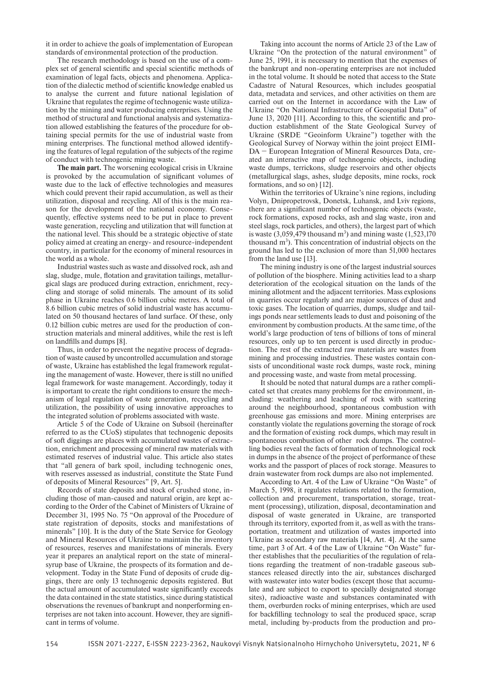it in order to achieve the goals of implementation of European standards of environmental protection of the production.

The research methodology is based on the use of a complex set of general scientific and special scientific methods of examination of legal facts, objects and phenomena. Application of the dialectic method of scientific knowledge enabled us to analyse the current and future national legislation of Ukraine that regulates the regime of technogenic waste utilization by the mining and water producing enterprises. Using the method of structural and functional analysis and systematization allowed establishing the features of the procedure for obtaining special permits for the use of industrial waste from mining enterprises. The functional method allowed identifying the features of legal regulation of the subjects of the regime of conduct with technogenic mining waste.

**The main part.** The worsening ecological crisis in Ukraine is provoked by the accumulation of significant volumes of waste due to the lack of effective technologies and measures which could prevent their rapid accumulation, as well as their utilization, disposal and recycling. All of this is the main reason for the development of the national economy. Consequently, effective systems need to be put in place to prevent waste generation, recycling and utilization that will function at the national level. This should be a strategic objective of state policy aimed at creating an energy- and resource-independent country, in particular for the economy of mineral resources in the world as a whole.

Industrial wastes such as waste and dissolved rock, ash and slag, sludge, mule, flotation and gravitation tailings, metallurgical slags are produced during extraction, enrichment, recycling and storage of solid minerals. The amount of its solid phase in Ukraine reaches 0.6 billion cubic metres. A total of 8.6 billion cubic metres of solid industrial waste has accumulated on 50 thousand hectares of land surface. Of these, only 0.12 billion cubic metres are used for the production of construction materials and mineral additives, while the rest is left on landfills and dumps [8].

Thus, in order to prevent the negative process of degradation of waste caused by uncontrolled accumulation and storage of waste, Ukraine has established the legal framework regulating the management of waste. However, there is still no unified legal framework for waste management. Accordingly, today it is important to create the right conditions to ensure the mechanism of legal regulation of waste generation, recycling and utilization, the possibility of using innovative approaches to the integrated solution of problems associated with waste.

Article 5 of the Code of Ukraine on Subsoil (hereinafter referred to as the CUoS) stipulates that technogenic deposits of soft diggings are places with accumulated wastes of extraction, enrichment and processing of mineral raw materials with estimated reserves of industrial value. This article also states that "all genera of bark spoil, including technogenic ones, with reserves assessed as industrial, constitute the State Fund of deposits of Mineral Resources" [9, Art. 5].

Records of state deposits and stock of crushed stone, including those of man-caused and natural origin, are kept according to the Order of the Cabinet of Ministers of Ukraine of December 31, 1995 No. 75 "On approval of the Procedure of state registration of deposits, stocks and manifestations of minerals" [10]. It is the duty of the State Service for Geology and Mineral Resources of Ukraine to maintain the inventory of resources, reserves and manifestations of minerals. Every year it prepares an analytical report on the state of mineralsyrup base of Ukraine, the prospects of its formation and development. Today in the State Fund of deposits of crude diggings, there are only 13 technogenic deposits registered. But the actual amount of accumulated waste significantly exceeds the data contained in the state statistics, since during statistical observations the revenues of bankrupt and nonperforming enterprises are not taken into account. However, they are signifi cant in terms of volume.

Taking into account the norms of Article 23 of the Law of Ukraine "On the protection of the natural environment" of June 25, 1991, it is necessary to mention that the expenses of the bankrupt and non-operating enterprises are not included in the total volume. It should be noted that access to the State Cadastre of Natural Resources, which includes geospatial data, metadata and services, and other activities on them are carried out on the Internet in accordance with the Law of Ukraine "On National Infrastructure of Geospatial Data" of June 13, 2020 [11]. According to this, the scientific and production establishment of the State Geological Survey of Ukraine (SRDE "Geoinform Ukraine") together with the Geological Survey of Norway within the joint project EIMI-DA − European Integration of Mineral Resources Data, created an interactive map of technogenic objects, including waste dumps, terrickons, sludge reservoirs and other objects (metallurgical slags, ashes, sludge deposits, mine rocks, rock formations, and so on) [12].

Within the territories of Ukraine's nine regions, including Volyn, Dnipropetrovsk, Donetsk, Luhansk, and Lviv regions, there are a significant number of technogenic objects (waste, rock formations, exposed rocks, ash and slag waste, iron and steel slags, rock particles, and others), the largest part of which is waste  $(3,059,479 \text{ thousand m}^3)$  and mining waste  $(1,523,170$ thousand  $m<sup>3</sup>$ ). This concentration of industrial objects on the ground has led to the exclusion of more than 51,000 hectares from the land use [13].

The mining industry is one of the largest industrial sources of pollution of the biosphere. Mining activities lead to a sharp deterioration of the ecological situation on the lands of the mining allotment and the adjacent territories. Mass explosions in quarries occur regularly and are major sources of dust and toxic gases. The location of quarries, dumps, sludge and tailings ponds near settlements leads to dust and poisoning of the environment by combustion products. At the same time, of the world's large production of tens of billions of tons of mineral resources, only up to ten percent is used directly in production. The rest of the extracted raw materials are wastes from mining and processing industries. These wastes contain consists of unconditional waste rock dumps, waste rock, mining and processing waste, and waste from metal processing.

It should be noted that natural dumps are a rather complicated set that creates many problems for the environment, including: weathering and leaching of rock with scattering around the neighbourhood, spontaneous combustion with greenhouse gas emissions and more. Mining enterprises are constantly violate the regulations governing the storage of rock and the formation of existing rock dumps, which may result in spontaneous combustion of other rock dumps. The controlling bodies reveal the facts of formation of technological rock in dumps in the absence of the project of performance of these works and the passport of places of rock storage. Measures to drain wastewater from rock dumps are also not implemented.

According to Art. 4 of the Law of Ukraine "On Waste" of March 5, 1998, it regulates relations related to the formation, collection and procurement, transportation, storage, treatment (processing), utilization, disposal, decontamination and disposal of waste generated in Ukraine, are transported through its territory, exported from it, as well as with the transportation, treatment and utilization of wastes imported into Ukraine as secondary raw materials [14, Art. 4]. At the same time, part 3 of Art. 4 of the Law of Ukraine "On Waste" further establishes that the peculiarities of the regulation of relations regarding the treatment of non-tradable gaseous substances released directly into the air, substances discharged with wastewater into water bodies (except those that accumulate and are subject to export to specially designated storage sites), radioactive waste and substances contaminated with them, overburden rocks of mining enterprises, which are used for backfilling technology to seal the produced space, scrap metal, including by-products from the production and pro-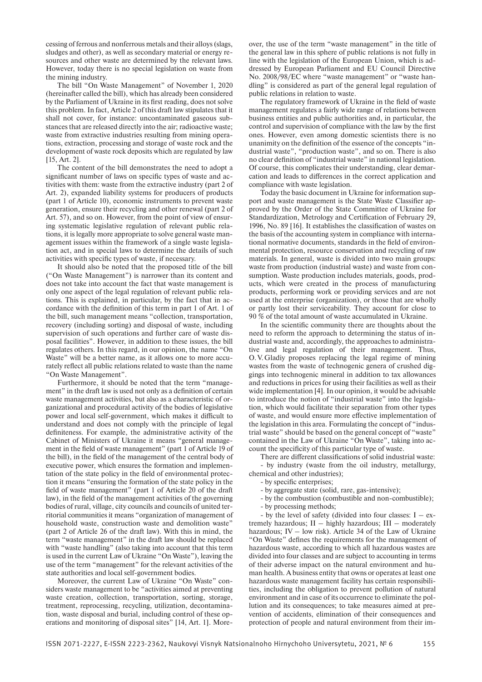cessing of ferrous and nonferrous metals and their alloys (slags, sludges and other), as well as secondary material or energy resources and other waste are determined by the relevant laws. However, today there is no special legislation on waste from the mining industry.

The bill "On Waste Management" of November 1, 2020 (hereinafter called the bill), which has already been considered by the Parliament of Ukraine in its first reading, does not solve this problem. In fact, Article 2 of this draft law stipulates that it shall not cover, for instance: uncontaminated gaseous substances that are released directly into the air; radioactive waste; waste from extractive industries resulting from mining operations, extraction, processing and storage of waste rock and the development of waste rock deposits which are regulated by law [15, Art. 2].

The content of the bill demonstrates the need to adopt a significant number of laws on specific types of waste and activities with them: waste from the extractive industry (part 2 of Art. 2), expanded liability systems for producers of products (part 1 of Article 10), economic instruments to prevent waste generation, ensure their recycling and other renewal (part 2 of Art. 57), and so on. However, from the point of view of ensuring systematic legislative regulation of relevant public relations, it is legally more appropriate to solve general waste management issues within the framework of a single waste legislation act, and in special laws to determine the details of such activities with specific types of waste, if necessary.

It should also be noted that the proposed title of the bill ("On Waste Management") is narrower than its content and does not take into account the fact that waste management is only one aspect of the legal regulation of relevant public relations. This is explained, in particular, by the fact that in accordance with the definition of this term in part 1 of Art. 1 of the bill, such management means "collection, transportation, recovery (including sorting) and disposal of waste, including supervision of such operations and further care of waste disposal facilities". However, in addition to these issues, the bill regulates others. In this regard, in our opinion, the name "On Waste" will be a better name, as it allows one to more accurately reflect all public relations related to waste than the name "On Waste Management".

Furthermore, it should be noted that the term "management" in the draft law is used not only as a definition of certain waste management activities, but also as a characteristic of organizational and procedural activity of the bodies of legislative power and local self-government, which makes it difficult to understand and does not comply with the principle of legal definiteness. For example, the administrative activity of the Cabinet of Ministers of Ukraine it means "general management in the field of waste management" (part 1 of Article 19 of the bill), in the field of the management of the central body of executive power, which ensures the formation and implementation of the state policy in the field of environmental protection it means "ensuring the formation of the state policy in the field of waste management" (part 1 of Article 20 of the draft law), in the field of the management activities of the governing bodies of rural, village, city councils and councils of united territorial communities it means "organization of management of household waste, construction waste and demolition waste" (part 2 of Article 26 of the draft law). With this in mind, the term "waste management" in the draft law should be replaced with "waste handling" (also taking into account that this term is used in the current Law of Ukraine "On Waste"), leaving the use of the term "management" for the relevant activities of the state authorities and local self-government bodies.

Moreover, the current Law of Ukraine "On Waste" considers waste management to be "activities aimed at preventing waste creation, collection, transportation, sorting, storage, treatment, reprocessing, recycling, utilization, decontamination, waste disposal and burial, including control of these operations and monitoring of disposal sites" [14, Art. 1]. More-

over, the use of the term "waste management" in the title of the general law in this sphere of public relations is not fully in line with the legislation of the European Union, which is addressed by European Parliament and EU Council Directive No. 2008/98/EC where "waste management" or "waste handling" is considered as part of the general legal regulation of public relations in relation to waste.

The regulatory framework of Ukraine in the field of waste management regulates a fairly wide range of relations between business entities and public authorities and, in particular, the control and supervision of compliance with the law by the first ones. However, even among domestic scientists there is no unanimity on the definition of the essence of the concepts "industrial waste", "production waste", and so on. There is also no clear definition of "industrial waste" in national legislation. Of course, this complicates their understanding, clear demarcation and leads to differences in the correct application and compliance with waste legislation.

Today the basic document in Ukraine for information support and waste management is the State Waste Classifier approved by the Order of the State Committee of Ukraine for Standardization, Metrology and Certification of February 29, 1996, No. 89 [16]. It establishes the classification of wastes on the basis of the accounting system in compliance with international normative documents, standards in the field of environmental protection, resource conservation and recycling of raw materials. In general, waste is divided into two main groups: waste from production (industrial waste) and waste from consumption. Waste production includes materials, goods, products, which were created in the process of manufacturing products, performing work or providing services and are not used at the enterprise (organization), or those that are wholly or partly lost their serviceability. They account for close to 90 % of the total amount of waste accumulated in Ukraine.

In the scientific community there are thoughts about the need to reform the approach to determining the status of industrial waste and, accordingly, the approaches to administrative and legal regulation of their management. Thus, O. V. Gladiy proposes replacing the legal regime of mining wastes from the waste of technogenic genera of crushed diggings into technogenic mineral in addition to tax allowances and reductions in prices for using their facilities as well as their wide implementation [4]. In our opinion, it would be advisable to introduce the notion of "industrial waste" into the legislation, which would facilitate their separation from other types of waste, and would ensure more effective implementation of the legislation in this area. Formulating the concept of "industrial waste" should be based on the general concept of "waste" contained in the Law of Ukraine "On Waste", taking into account the specificity of this particular type of waste.

There are different classifications of solid industrial waste:

- by industry (waste from the oil industry, metallurgy, chemical and other industries);

- by specific enterprises;

- by aggregate state (solid, rare, gas-intensive);
- by the combustion (combustible and non-combustible);
- by processing methods;

- by the level of safety (divided into four classes:  $I - ex$ tremely hazardous; II – highly hazardous; III – moderately hazardous; IV – low risk). Article 34 of the Law of Ukraine "On Waste" defines the requirements for the management of hazardous waste, according to which all hazardous wastes are divided into four classes and are subject to accounting in terms of their adverse impact on the natural environment and human health. A business entity that owns or operates at least one hazardous waste management facility has certain responsibilities, including the obligation to prevent pollution of natural environment and in case of its occurrence to eliminate the pollution and its consequences; to take measures aimed at prevention of accidents, elimination of their consequences and protection of people and natural environment from their im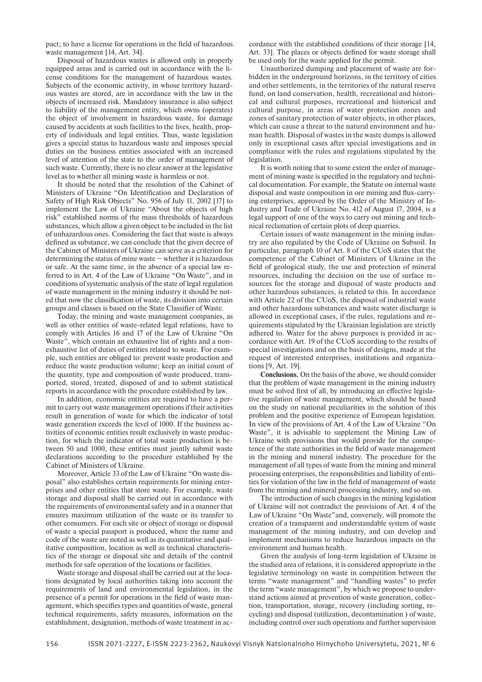pact; to have a license for operations in the field of hazardous waste management [14, Art. 34].

Disposal of hazardous wastes is allowed only in properly equipped areas and is carried out in accordance with the license conditions for the management of hazardous wastes. Subjects of the economic activity, in whose territory hazardous wastes are stored, are in accordance with the law in the objects of increased risk. Mandatory insurance is also subject to liability of the management entity, which owns (operates) the object of involvement in hazardous waste, for damage caused by accidents at such facilities to the lives, health, property of individuals and legal entities. Thus, waste legislation gives a special status to hazardous waste and imposes special duties on the business entities associated with an increased level of attention of the state to the order of management of such waste. Currently, there is no clear answer at the legislative level as to whether all mining waste is harmless or not.

It should be noted that the resolution of the Cabinet of Ministers of Ukraine "On Identification and Declaration of Safety of High Risk Objects" No. 956 of July 11, 2002 [17] to implement the Law of Ukraine "About the objects of high risk" established norms of the mass thresholds of hazardous substances, which allow a given object to be included in the list of unhazardous ones. Considering the fact that waste is always defined as substance, we can conclude that the given decree of the Cabinet of Ministers of Ukraine can serve as a criterion for determining the status of mine waste − whether it is hazardous or safe. At the same time, in the absence of a special law referred to in Art. 4 of the Law of Ukraine "On Waste", and in conditions of systematic analysis of the state of legal regulation of waste management in the mining industry it should be noted that now the classification of waste, its division into certain groups and classes is based on the State Classifier of Waste.

Today, the mining and waste management companies, as well as other entities of waste-related legal relations, have to comply with Articles 16 and 17 of the Law of Ukraine "On Waste", which contain an exhaustive list of rights and a nonexhaustive list of duties of entities related to waste. For example, such entities are obliged to: prevent waste production and reduce the waste production volume; keep an initial count of the quantity, type and composition of waste produced, transported, stored, treated, disposed of and to submit statistical reports in accordance with the procedure established by law.

In addition, economic entities are required to have a permit to carry out waste management operations if their activities result in generation of waste for which the indicator of total waste generation exceeds the level of 1000. If the business activities of economic entities result exclusively in waste production, for which the indicator of total waste production is between 50 and 1000, these entities must jointly submit waste declarations according to the procedure established by the Cabinet of Ministers of Ukraine.

Moreover, Article 33 of the Law of Ukraine "On waste disposal" also establishes certain requirements for mining enterprises and other entities that store waste. For example, waste storage and disposal shall be carried out in accordance with the requirements of environmental safety and in a manner that ensures maximum utilization of the waste or its transfer to other consumers. For each site or object of storage or disposal of waste a special passport is produced, where the name and code of the waste are noted as well as its quantitative and qualitative composition, location as well as technical characteristics of the storage or disposal site and details of the control methods for safe operation of the locations or facilities.

Waste storage and disposal shall be carried out at the locations designated by local authorities taking into account the requirements of land and environmental legislation, in the presence of a permit for operations in the field of waste management, which specifies types and quantities of waste, general technical requirements, safety measures, information on the establishment, designation, methods of waste treatment in ac-

cordance with the established conditions of their storage [14, Art. 33]. The places or objects defined for waste storage shall be used only for the waste applied for the permit.

Unauthorized dumping and placement of waste are forbidden in the underground horizons, in the territory of cities and other settlements, in the territories of the natural reserve fund, on land conservation, health, recreational and historical and cultural purposes, recreational and historical and cultural purpose, in areas of water protection zones and zones of sanitary protection of water objects, in other places, which can cause a threat to the natural environment and human health. Disposal of wastes in the waste dumps is allowed only in exceptional cases after special investigations and in compliance with the rules and regulations stipulated by the legislation.

It is worth noting that to some extent the order of management of mining waste is specified in the regulatory and technical documentation. For example, the Statute on internal waste disposal and waste composition in ore mining and flux-carrying enterprises, approved by the Order of the Ministry of Industry and Trade of Ukraine No. 412 of August 17, 2004, is a legal support of one of the ways to carry out mining and technical reclamation of certain plots of deep quarries.

Certain issues of waste management in the mining industry are also regulated by the Code of Ukraine on Subsoil. In particular, paragraph 10 of Art. 8 of the CUoS states that the competence of the Cabinet of Ministers of Ukraine in the field of geological study, the use and protection of mineral resources, including the decision on the use of surface resources for the storage and disposal of waste products and other hazardous substances, is related to this. In accordance with Article 22 of the CUoS, the disposal of industrial waste and other hazardous substances and waste water discharge is allowed in exceptional cases, if the rules, regulations and requirements stipulated by the Ukrainian legislation are strictly adhered to. Water for the above purposes is provided in accordance with Art. 19 of the CUoS according to the results of special investigations and on the basis of designs, made at the request of interested enterprises, institutions and organizations [9, Art. 19].

**Conclusions.** On the basis of the above, we should consider that the problem of waste management in the mining industry must be solved first of all, by introducing an effective legislative regulation of waste management, which should be based on the study on national peculiarities in the solution of this problem and the positive experience of European legislation. In view of the provisions of Art. 4 of the Law of Ukraine "On Waste", it is advisable to supplement the Mining Law of Ukraine with provisions that would provide for the competence of the state authorities in the field of waste management in the mining and mineral industry. The procedure for the management of all types of waste from the mining and mineral processing enterprises, the responsibilities and liability of entities for violation of the law in the field of management of waste from the mining and mineral processing industry, and so on.

The introduction of such changes in the mining legislation of Ukraine will not contradict the provisions of Art. 4 of the Law of Ukraine "On Waste"and, conversely, will promote the creation of a transparent and understandable system of waste management of the mining industry, and can develop and implement mechanisms to reduce hazardous impacts on the environment and human health.

Given the analysis of long-term legislation of Ukraine in the studied area of relations, it is considered appropriate in the legislative terminology on waste in competition between the terms "waste management" and "handling wastes" to prefer the term "waste management", by which we propose to understand actions aimed at prevention of waste generation, collection, transportation, storage, recovery (including sorting, recycling) and disposal (utilization, decontamination ) of waste, including control over such operations and further supervision